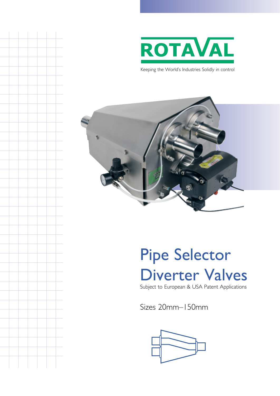

Keeping the World's Industries Solidly in control



# Pipe Selector Diverter Valves Subject to European & USA Patent Applications

Sizes 20mm–150mm

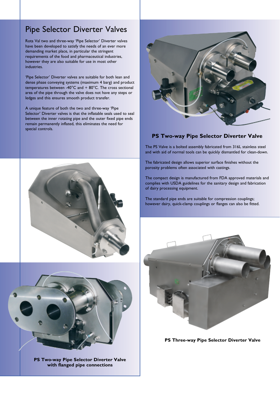### Pipe Selector Diverter Valves

Rota Val two and three-way 'Pipe Selector' Diverter valves have been developed to satisfy the needs of an ever more demanding market place, in particular the stringent requirements of the food and pharmaceutical industries, however they are also suitable for use in most other industries.

'Pipe Selector' Diverter valves are suitable for both lean and dense phase conveying systems (maximum 4 barg) and product temperatures between -40°C and  $+$  80°C. The cross sectional area of the pipe through the valve does not have any steps or ledges and this ensures smooth product transfer.

A unique feature of both the two and three-way 'Pipe Selector' Diverter valves is that the inflatable seals used to seal between the inner rotating pipe and the outer fixed pipe ends remain permanently inflated, this eliminates the need for special controls.



#### **PS Two-way Pipe Selector Diverter Valve**

The PS Valve is a bolted assembly fabricated from 316L stainless steel and with aid of normal tools can be quickly dismantled for clean-down.

The fabricated design allows superior surface finishes without the porosity problems often associated with castings.

The compact design is manufactured from FDA approved materials and complies with USDA guidelines for the sanitary design and fabrication of dairy processing equipment.

The standard pipe ends are suitable for compression couplings; however dairy, quick-clamp couplings or flanges can also be fitted.



**PS Three-way Pipe Selector Diverter Valve**





**PS Two-way Pipe Selector Diverter Valve with flanged pipe connections**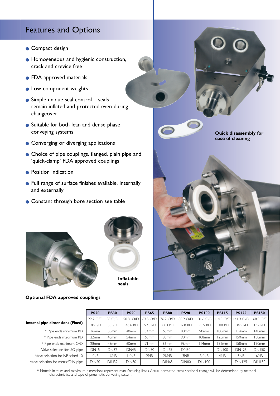### Features and Options

- Compact design
- Homogeneous and hygienic construction, crack and crevice free
- FDA approved materials
- Low component weights
- $\bullet$  Simple unique seal control seals remain inflated and protected even during changeover
- Suitable for both lean and dense phase conveying systems
- Converging or diverging applications
- Choice of pipe couplings, flanged, plain pipe and 'quick-clamp' FDA approved couplings
- Position indication
- Full range of surface finishes available, internally and externally
- Constant through bore section see table





**Optional FDA approved couplings**



|            | <b>PS20</b>  | <b>PS30</b>      | <b>PS50</b>      | <b>PS65</b>              | <b>PS80</b>                 | <b>PS90</b>      | <b>PS100</b>     | <b>PS115</b>             | <b>PS125</b>  | <b>PS150</b>  |
|------------|--------------|------------------|------------------|--------------------------|-----------------------------|------------------|------------------|--------------------------|---------------|---------------|
|            | 22.2 O/D     | 38 O/D           | 50.8 O/D         | 63.5 O/D                 | 76.2 O/D                    | 88.9 O/D         | 101.6 O/D        | 14.3 O/D                 | 141.3 O/D     | 68.3 O/D      |
| ıs (Fixed) | 8.9 I/D      | 35 I/D           | 46.6 I/D         | 59.3 I/D                 | 72.0 I/D                    | 82.8 I/D         | 95.5 I/D         | 108 I/D                  | 34.5 I/D      | 162 I/D       |
| nimum I/D  | l 6mm        | 30 <sub>mm</sub> | 40 <sub>mm</sub> | 54 <sub>mm</sub>         | 65 <sub>mm</sub>            | 80 <sub>mm</sub> | 90 <sub>mm</sub> | 100mm                    | 114mm         | 140mm         |
| ximum I/D  | 22mm         | 40 <sub>mm</sub> | 54 <sub>mm</sub> | 65 <sub>mm</sub>         | 80 <sub>mm</sub>            | 90 <sub>mm</sub> | 108mm            | 25mm                     | 150mm         | 180mm         |
| mum O/D    | 28mm         | 43mm             | 60 <sub>mm</sub> | 71mm                     | 86 <sub>mm</sub>            | 96 <sub>mm</sub> | l I4mm           | 31mm                     | 158mm         | 190mm         |
| r ISO pipe | <b>DN15</b>  | <b>DN32</b>      | <b>DN45</b>      | <b>DN50</b>              | <b>DN65</b>                 | <b>DN80</b>      |                  | <b>DN100</b>             | <b>DN125</b>  | <b>DN150</b>  |
| 3 sched 10 | <b>XNB</b>   | <b>I ANB</b>     | <b>IZNB</b>      | 2NB                      | $2\frac{1}{N}$ <sub>D</sub> | 3NB              | $3\%$ NB         | 4NB                      | 5NB           | 6NB           |
| :/DIN pipe | <b>DIN20</b> | <b>DIN32</b>     | <b>DIN50</b>     | $\overline{\phantom{0}}$ | <b>DIN65</b>                | <b>DIN80</b>     | <b>DIN100</b>    | $\overline{\phantom{m}}$ | <b>DIN125</b> | <b>DIN150</b> |
|            |              |                  |                  |                          |                             |                  |                  |                          |               |               |

**Internal pipe dimension** 

- \* Pipe ends min
- \* Pipe ends ma:
- \* Pipe ends maxi
- Valve selection for

Valve selection for NB Valve selection for metric

> \* Note: Minimum and maximum dimensions represent manufacturing limits. Actual permitted cross sectional change will be determined by material characteristics and type of pneumatic conveying system.